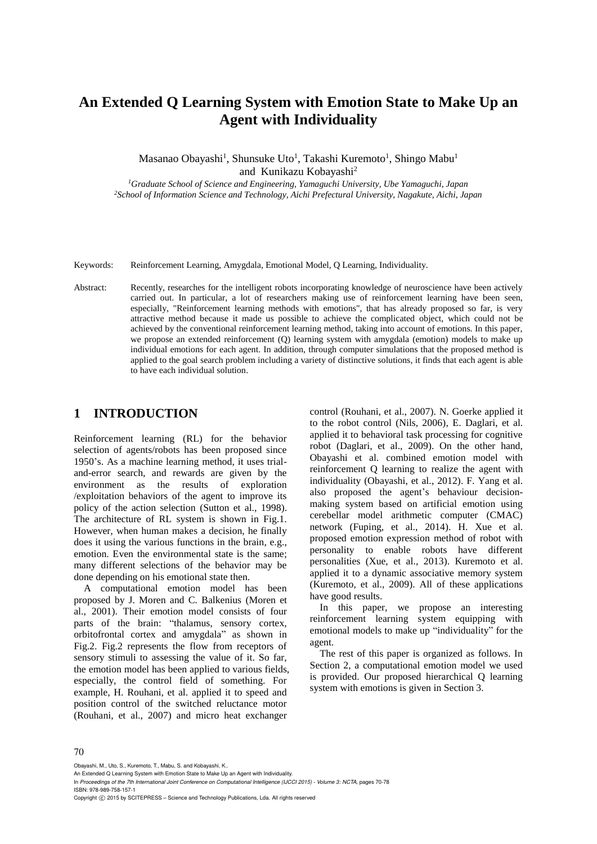# **An Extended Q Learning System with Emotion State to Make Up an Agent with Individuality**

Masanao Obayashi<sup>1</sup>, Shunsuke Uto<sup>1</sup>, Takashi Kuremoto<sup>1</sup>, Shingo Mabu<sup>1</sup> and Kunikazu Kobayashi<sup>2</sup>

*<sup>1</sup>Graduate School of Science and Engineering, Yamaguchi University, Ube Yamaguchi, Japan <sup>2</sup>School of Information Science and Technology, Aichi Prefectural University, Nagakute, Aichi, Japan* 

Keywords: Reinforcement Learning, Amygdala, Emotional Model, Q Learning, Individuality.

Abstract: Recently, researches for the intelligent robots incorporating knowledge of neuroscience have been actively carried out. In particular, a lot of researchers making use of reinforcement learning have been seen, especially, "Reinforcement learning methods with emotions", that has already proposed so far, is very attractive method because it made us possible to achieve the complicated object, which could not be achieved by the conventional reinforcement learning method, taking into account of emotions. In this paper, we propose an extended reinforcement (Q) learning system with amygdala (emotion) models to make up individual emotions for each agent. In addition, through computer simulations that the proposed method is applied to the goal search problem including a variety of distinctive solutions, it finds that each agent is able to have each individual solution.

### **1 INTRODUCTION**

Reinforcement learning (RL) for the behavior selection of agents/robots has been proposed since 1950's. As a machine learning method, it uses trialand-error search, and rewards are given by the environment as the results of exploration /exploitation behaviors of the agent to improve its policy of the action selection (Sutton et al., 1998). The architecture of RL system is shown in Fig.1. However, when human makes a decision, he finally does it using the various functions in the brain, e.g., emotion. Even the environmental state is the same; many different selections of the behavior may be done depending on his emotional state then.

A computational emotion model has been proposed by J. Moren and C. Balkenius (Moren et al., 2001). Their emotion model consists of four parts of the brain: "thalamus, sensory cortex, orbitofrontal cortex and amygdala" as shown in Fig.2. Fig.2 represents the flow from receptors of sensory stimuli to assessing the value of it. So far, the emotion model has been applied to various fields, especially, the control field of something. For example, H. Rouhani, et al. applied it to speed and position control of the switched reluctance motor (Rouhani, et al., 2007) and micro heat exchanger

control (Rouhani, et al., 2007). N. Goerke applied it to the robot control (Nils, 2006), E. Daglari, et al. applied it to behavioral task processing for cognitive robot (Daglari, et al., 2009). On the other hand, Obayashi et al. combined emotion model with reinforcement Q learning to realize the agent with individuality (Obayashi, et al., 2012). F. Yang et al. also proposed the agent's behaviour decisionmaking system based on artificial emotion using cerebellar model arithmetic computer (CMAC) network (Fuping, et al., 2014). H. Xue et al. proposed emotion expression method of robot with personality to enable robots have different personalities (Xue, et al., 2013). Kuremoto et al. applied it to a dynamic associative memory system (Kuremoto, et al., 2009). All of these applications have good results.

In this paper, we propose an interesting reinforcement learning system equipping with emotional models to make up "individuality" for the agent.

The rest of this paper is organized as follows. In Section 2, a computational emotion model we used is provided. Our proposed hierarchical Q learning system with emotions is given in Section 3.

#### 70

Obayashi, M., Uto, S., Kuremoto, T., Mabu, S. and Kobayashi, K..

An Extended Q Learning System with Emotion State to Make Up an Agent with Individuality.

Copyright (C) 2015 by SCITEPRESS - Science and Technology Publications, Lda. All rights reserved

In *Proceedings of the 7th International Joint Conference on Computational Intelligence (IJCCI 2015) - Volume 3: NCTA*, pages 70-78 ISBN: 978-989-758-157-1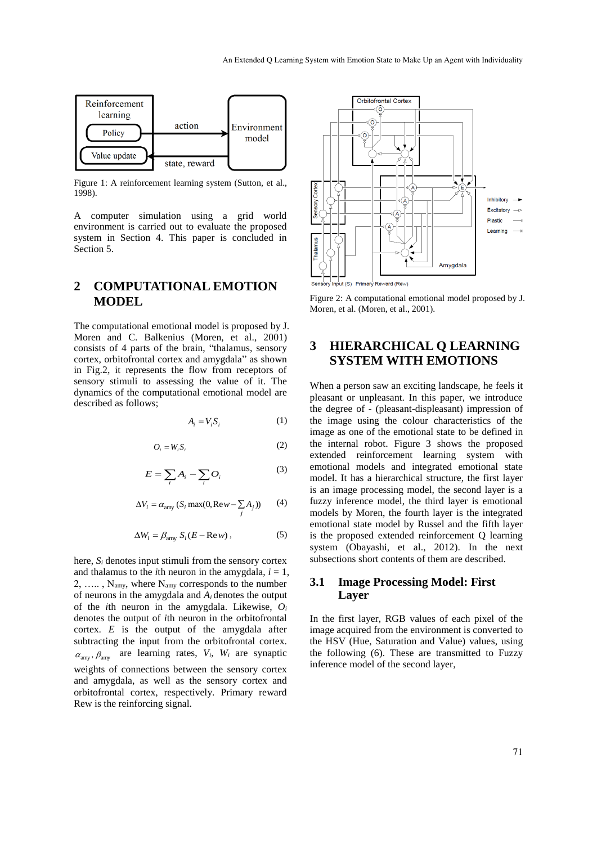

Figure 1: A reinforcement learning system (Sutton, et al., 1998).

A computer simulation using a grid world environment is carried out to evaluate the proposed system in Section 4. This paper is concluded in Section 5.

### **2 COMPUTATIONAL EMOTION MODEL**

The computational emotional model is proposed by J. Moren and C. Balkenius (Moren, et al., 2001) consists of 4 parts of the brain, "thalamus, sensory cortex, orbitofrontal cortex and amygdala" as shown in Fig.2, it represents the flow from receptors of sensory stimuli to assessing the value of it. The dynamics of the computational emotional model are described as follows;

$$
A_i = V_i S_i \tag{1}
$$

$$
O_i = W_i S_i \tag{2}
$$

$$
E = \sum_{i} A_i - \sum_{i} O_i \tag{3}
$$

$$
\Delta V_i = \alpha_{\text{amy}} \left( S_i \max(0, \text{Re} \, w - \sum_j A_j) \right) \tag{4}
$$

$$
\Delta W_i = \beta_{\text{amy}} S_i (E - \text{Re} w), \qquad (5)
$$

here,  $S_i$  denotes input stimuli from the sensory cortex and thalamus to the *i*th neuron in the amygdala,  $i = 1$ , 2, ….. , Namy, where Namy corresponds to the number of neurons in the amygdala and *Ai* denotes the output of the *i*th neuron in the amygdala. Likewise, *O<sup>i</sup>* denotes the output of *i*th neuron in the orbitofrontal cortex. *E* is the output of the amygdala after subtracting the input from the orbitofrontal cortex.  $\alpha_{\text{amy}}$ ,  $\beta_{\text{amy}}$  are learning rates,  $V_i$ ,  $W_i$  are synaptic weights of connections between the sensory cortex and amygdala, as well as the sensory cortex and orbitofrontal cortex, respectively. Primary reward Rew is the reinforcing signal.



Figure 2: A computational emotional model proposed by J. Moren, et al. (Moren, et al., 2001).

## **3 HIERARCHICAL Q LEARNING SYSTEM WITH EMOTIONS**

When a person saw an exciting landscape, he feels it pleasant or unpleasant. In this paper, we introduce the degree of - (pleasant-displeasant) impression of the image using the colour characteristics of the image as one of the emotional state to be defined in the internal robot. Figure 3 shows the proposed extended reinforcement learning system with emotional models and integrated emotional state model. It has a hierarchical structure, the first layer is an image processing model, the second layer is a fuzzy inference model, the third layer is emotional models by Moren, the fourth layer is the integrated emotional state model by Russel and the fifth layer is the proposed extended reinforcement Q learning system (Obayashi, et al., 2012). In the next subsections short contents of them are described.

### **3.1 Image Processing Model: First Layer**

In the first layer, RGB values of each pixel of the image acquired from the environment is converted to the HSV (Hue, Saturation and Value) values, using the following (6). These are transmitted to Fuzzy inference model of the second layer,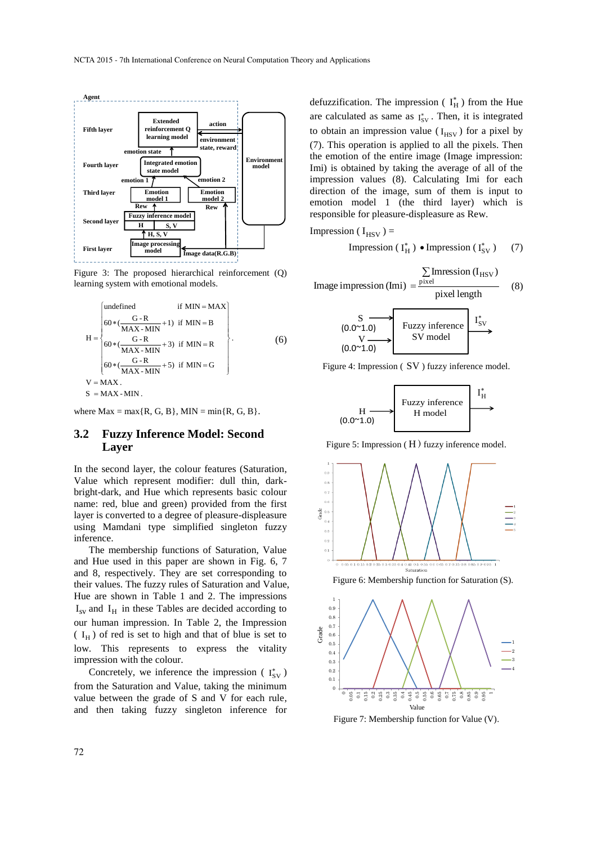

Figure 3: The proposed hierarchical reinforcement (Q) learning system with emotional models.

$$
H = \begin{cases}\n\text{undefined} & \text{if } \text{MIN} = \text{MAX} \\
60 * (\frac{G \cdot R}{\text{MAX} \cdot \text{MIN}} + 1) & \text{if } \text{MIN} = B \\
60 * (\frac{G \cdot R}{\text{MAX} \cdot \text{MIN}} + 3) & \text{if } \text{MIN} = R \\
60 * (\frac{G \cdot R}{\text{MAX} \cdot \text{MIN}} + 5) & \text{if } \text{MIN} = G\n\end{cases}
$$
\n
$$
V = \text{MAX.}
$$
\n
$$
S \longrightarrow \text{Fuzzy inference}
$$
\n
$$
V = \text{MAX.}
$$
\n
$$
S = \text{MAX} \times \text{MIN}
$$
\n
$$
S = \text{MAX} \times \text{MIN}
$$
\n
$$
S = \text{MAX} \times \text{MIN}
$$
\n
$$
V = \text{MAX}
$$
\n
$$
V = \text{MAX}
$$
\n
$$
V = \text{MAX}
$$
\n
$$
V = \text{MAX}
$$
\n
$$
V = \text{MAX}
$$
\n
$$
V = \text{MAX}
$$
\n
$$
V = \text{MAX}
$$
\n
$$
V = \text{MAX}
$$
\n
$$
V = \text{MAX}
$$
\n
$$
V = \text{MAX}
$$
\n
$$
V = \text{MAX}
$$

where  $Max = max{R, G, B}$ ,  $MIN = min{R, G, B}$ .

### **3.2 Fuzzy Inference Model: Second Layer**

In the second layer, the colour features (Saturation, Value which represent modifier: dull thin, darkbright-dark, and Hue which represents basic colour name: red, blue and green) provided from the first layer is converted to a degree of pleasure-displeasure using Mamdani type simplified singleton fuzzy inference.

The membership functions of Saturation, Value and Hue used in this paper are shown in Fig. 6, 7 and 8, respectively. They are set corresponding to their values. The fuzzy rules of Saturation and Value, Hue are shown in Table 1 and 2. The impressions  $I_{\rm sv}$  and  $I_{\rm H}$  in these Tables are decided according to our human impression. In Table 2, the Impression  $(I_H)$  of red is set to high and that of blue is set to low. This represents to express the vitality impression with the colour.

Concretely, we inference the impression ( $I_{SV}^*$ ) from the Saturation and Value, taking the minimum value between the grade of S and V for each rule, and then taking fuzzy singleton inference for

defuzzification. The impression ( $I_H^*$ ) from the Hue are calculated as same as  $I_{SV}^*$ . Then, it is integrated to obtain an impression value  $(I_{HSV})$  for a pixel by (7). This operation is applied to all the pixels. Then the emotion of the entire image (Image impression: Imi) is obtained by taking the average of all of the impression values (8). Calculating Imi for each direction of the image, sum of them is input to emotion model 1 (the third layer) which is responsible for pleasure-displeasure as Rew.

$$
Impression (I_{HSV}) =
$$

Impression ( 
$$
I_H^*
$$
 )  $\bullet$  Impression (  $I_{SV}^*$  ) (7)

Image impression (Imi) = 
$$
\frac{\sum \text{Imression (I_{HSV})}}{\text{pixel length}}
$$
 (8)





Figure 5: Impression ( H ) fuzzy inference model.







Figure 7: Membership function for Value (V).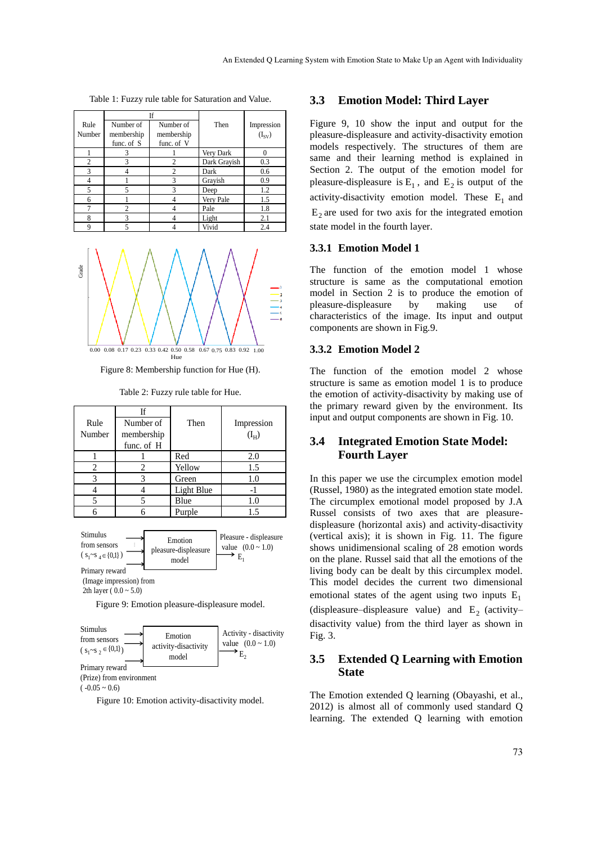Table 1: Fuzzy rule table for Saturation and Value.

|        |                | If         |              |            |
|--------|----------------|------------|--------------|------------|
| Rule   | Number of      | Number of  | Then         | Impression |
| Number | membership     | membership |              | $(I_{SV})$ |
|        | func. of S     | func. of V |              |            |
|        | 3              |            | Very Dark    |            |
| 2      | 3              |            | Dark Gravish | 0.3        |
| 3      |                | 2          | Dark         | 0.6        |
|        |                | 3          | Grayish      | 0.9        |
| 5      | 5              | 3          | Deep         | 1.2        |
| 6      |                |            | Very Pale    | 1.5        |
|        | $\overline{c}$ |            | Pale         | 1.8        |
| 8      | 3              |            | Light        | 2.1        |
| q      |                |            | Vivid        | 2.4        |



Figure 8: Membership function for Hue (H).

Table 2: Fuzzy rule table for Hue.

| Rule<br>Number | Īf<br>Number of<br>membership<br>func. of H | Then       | Impression<br>$(I_H)$ |
|----------------|---------------------------------------------|------------|-----------------------|
|                |                                             | Red        | 2.0                   |
| 2              |                                             | Yellow     | 1.5                   |
|                | 3                                           | Green      | 1.0                   |
|                |                                             | Light Blue |                       |
|                |                                             | Blue       | 1.0                   |
|                |                                             | Purple     | 1.5                   |
|                |                                             |            |                       |



Figure 9: Emotion pleasure-displeasure model.



Figure 10: Emotion activity-disactivity model.

### **3.3 Emotion Model: Third Layer**

Figure 9, 10 show the input and output for the pleasure-displeasure and activity-disactivity emotion models respectively. The structures of them are same and their learning method is explained in Section 2. The output of the emotion model for pleasure-displeasure is  $E_1$ , and  $E_2$  is output of the activity-disactivity emotion model. These  $E_1$  and  $E_2$  are used for two axis for the integrated emotion state model in the fourth layer.

#### **3.3.1 Emotion Model 1**

The function of the emotion model 1 whose structure is same as the computational emotion model in Section 2 is to produce the emotion of pleasure-displeasure by making use of characteristics of the image. Its input and output components are shown in Fig.9.

#### **3.3.2 Emotion Model 2**

The function of the emotion model 2 whose structure is same as emotion model 1 is to produce the emotion of activity-disactivity by making use of the primary reward given by the environment. Its input and output components are shown in Fig. 10.

### **3.4 Integrated Emotion State Model: Fourth Layer**

In this paper we use the circumplex emotion model (Russel, 1980) as the integrated emotion state model. The circumplex emotional model proposed by J.A Russel consists of two axes that are pleasuredispleasure (horizontal axis) and activity-disactivity (vertical axis); it is shown in Fig. 11. The figure shows unidimensional scaling of 28 emotion words on the plane. Russel said that all the emotions of the living body can be dealt by this circumplex model. This model decides the current two dimensional emotional states of the agent using two inputs  $E_1$ (displeasure–displeasure value) and  $E_2$  (activity– disactivity value) from the third layer as shown in Fig. 3.

### **3.5 Extended Q Learning with Emotion State**

The Emotion extended Q learning (Obayashi, et al., 2012) is almost all of commonly used standard Q learning. The extended Q learning with emotion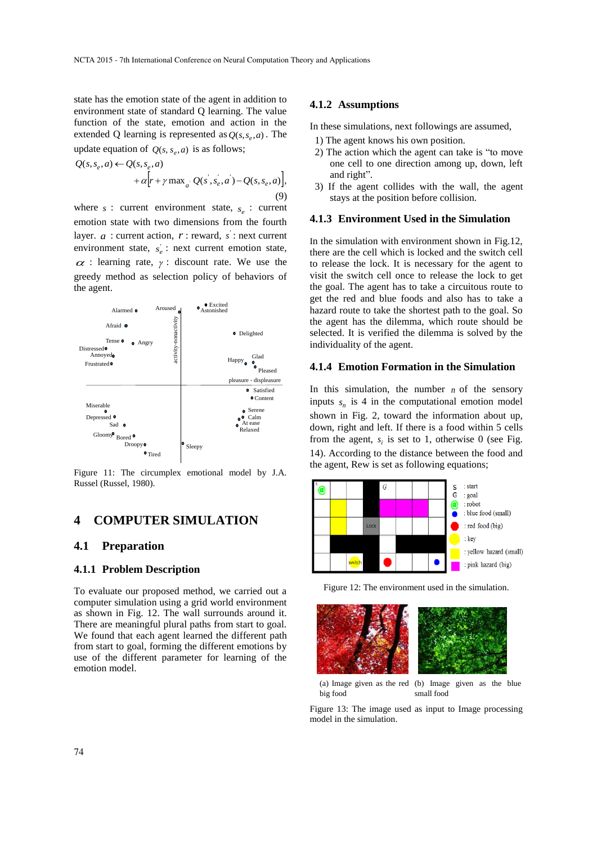state has the emotion state of the agent in addition to environment state of standard Q learning. The value function of the state, emotion and action in the extended Q learning is represented as  $Q(s, s_e, a)$ . The update equation of  $Q(s, s_e, a)$  is as follows;

$$
Q(s, s_e, a) \leftarrow Q(s, s_e, a)
$$
  
+  $\alpha [r + \gamma \max_{a'} Q(s', s'_e, a') - Q(s, s_e, a)],$   
(9)

where  $s$ : current environment state,  $s_e$ : current emotion state with two dimensions from the fourth layer.  $a$ : current action,  $r$ : reward,  $s$ : next current environment state,  $s_e$ : next current emotion state,  $\alpha$ : learning rate,  $\gamma$ : discount rate. We use the greedy method as selection policy of behaviors of the agent.



Figure 11: The circumplex emotional model by J.A. Russel (Russel, 1980).

### **4 COMPUTER SIMULATION**

### **4.1 Preparation**

#### **4.1.1 Problem Description**

To evaluate our proposed method, we carried out a computer simulation using a grid world environment as shown in Fig. 12. The wall surrounds around it. There are meaningful plural paths from start to goal. We found that each agent learned the different path from start to goal, forming the different emotions by use of the different parameter for learning of the emotion model.

#### **4.1.2 Assumptions**

In these simulations, next followings are assumed,

- 1) The agent knows his own position.
- 2) The action which the agent can take is "to move one cell to one direction among up, down, left and right".
- 3) If the agent collides with the wall, the agent stays at the position before collision.

#### **4.1.3 Environment Used in the Simulation**

In the simulation with environment shown in Fig.12, there are the cell which is locked and the switch cell to release the lock. It is necessary for the agent to visit the switch cell once to release the lock to get the goal. The agent has to take a circuitous route to get the red and blue foods and also has to take a hazard route to take the shortest path to the goal. So the agent has the dilemma, which route should be selected. It is verified the dilemma is solved by the individuality of the agent.

#### **4.1.4 Emotion Formation in the Simulation**

In this simulation, the number  $n$  of the sensory inputs  $s_n$  is 4 in the computational emotion model shown in Fig. 2, toward the information about up, down, right and left. If there is a food within 5 cells from the agent,  $s_i$  is set to 1, otherwise 0 (see Fig. 14). According to the distance between the food and the agent, Rew is set as following equations;



Figure 12: The environment used in the simulation.





(a) Image given as the red (b) Image given as the blue big food small food

Figure 13: The image used as input to Image processing model in the simulation.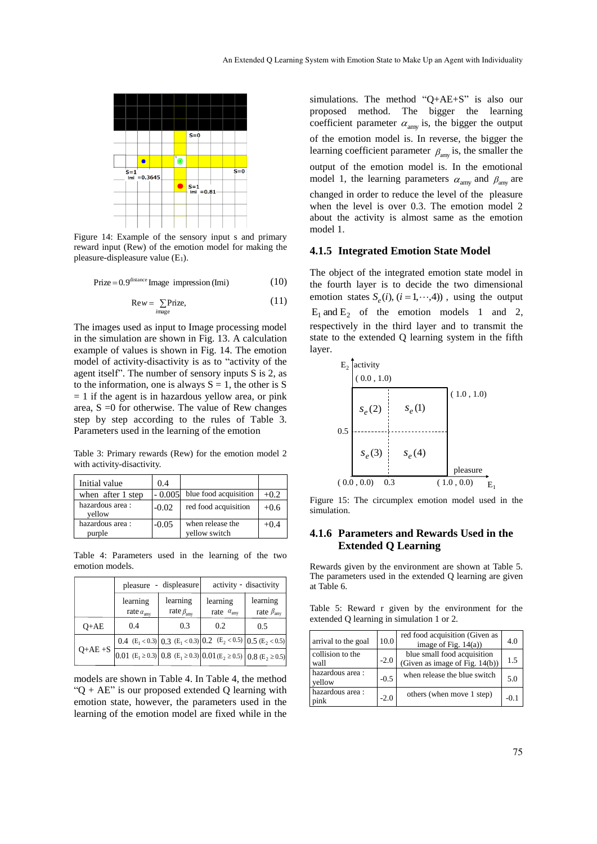

Figure 14: Example of the sensory input s and primary reward input (Rew) of the emotion model for making the pleasure-displeasure value (E1).

$$
Price = 0.9distance Image impression (Imi)
$$
 (10)

$$
Re w = \sum_{\text{image}} \text{Price}, \tag{11}
$$

The images used as input to Image processing model in the simulation are shown in Fig. 13. A calculation example of values is shown in Fig. 14. The emotion model of activity-disactivity is as to "activity of the agent itself". The number of sensory inputs S is 2, as to the information, one is always  $S = 1$ , the other is S  $= 1$  if the agent is in hazardous yellow area, or pink area,  $S = 0$  for otherwise. The value of Rew changes step by step according to the rules of Table 3. Parameters used in the learning of the emotion

Table 3: Primary rewards (Rew) for the emotion model 2 with activity-disactivity.

| Initial value             | 0.4      |                       |        |
|---------------------------|----------|-----------------------|--------|
| when after 1 step         | $-0.005$ | blue food acquisition | $+0.2$ |
| hazardous area:<br>vellow | $-0.02$  | red food acquisition  | $+0.6$ |
| hazardous area:           | $-0.05$  | when release the      | $+0.4$ |
| purple                    |          | yellow switch         |        |

Table 4: Parameters used in the learning of the two emotion models.

|          | pleasure -                             | displeasure                           | activity - disactivity                                                                                                                                                                            |                                       | The parameters used in the extended<br>at Table 6.                                        |  |
|----------|----------------------------------------|---------------------------------------|---------------------------------------------------------------------------------------------------------------------------------------------------------------------------------------------------|---------------------------------------|-------------------------------------------------------------------------------------------|--|
|          | learning<br>rate $\alpha_{\text{amv}}$ | learning<br>rate $\beta_{\text{amv}}$ | learning<br>rate $\alpha_{\text{amv}}$                                                                                                                                                            | learning<br>rate $\beta_{\text{amv}}$ | Table 5: Reward r given by the                                                            |  |
| $O+AE$   | 0.4                                    | 0.3                                   | 0.2                                                                                                                                                                                               | 0.5                                   | extended Q learning in simulation 1 of                                                    |  |
|          |                                        |                                       | 0.4 $(E_1 < 0.3)$ 0.3 $(E_1 < 0.3)$ 0.2 $(E_2 < 0.5)$ 0.5 $(E_2 < 0.5)$                                                                                                                           |                                       | red food acqui<br>arrival to the goal<br>10.0<br>image of                                 |  |
| $O+AE+S$ |                                        |                                       | $\vert 0.01 \rangle$ (E <sub>1</sub> $\geq$ 0.3) $\vert 0.8 \rangle$ (E <sub>1</sub> $\geq$ 0.3) $\vert 0.01 \rangle$ (E <sub>2</sub> $\geq$ 0.5) $\vert 0.8 \rangle$ (E <sub>2</sub> $\geq$ 0.5) |                                       | collision to the<br>blue small fo<br>$-2.0$<br>$(C_{\text{sum}} \circ \text{im}$<br>rr011 |  |

models are shown in Table 4. In Table 4, the method " $Q + AE$ " is our proposed extended Q learning with emotion state, however, the parameters used in the learning of the emotion model are fixed while in the

simulations. The method "Q+AE+S" is also our proposed method. The bigger the learning coefficient parameter  $\alpha_{\text{amy}}$  is, the bigger the output of the emotion model is. In reverse, the bigger the learning coefficient parameter  $\beta_{\text{amy}}$  is, the smaller the output of the emotion model is. In the emotional model 1, the learning parameters  $\alpha_{\text{amy}}$  and  $\beta_{\text{amy}}$  are changed in order to reduce the level of the pleasure when the level is over 0.3. The emotion model 2 about the activity is almost same as the emotion model 1.

#### **4.1.5 Integrated Emotion State Model**

The object of the integrated emotion state model in the fourth layer is to decide the two dimensional emotion states  $S_e(i)$ ,  $(i = 1, \dots, 4)$ , using the output  $E_1$  and  $E_2$  of the emotion models 1 and 2, respectively in the third layer and to transmit the state to the extended Q learning system in the fifth layer.



Figure 15: The circumplex emotion model used in the simulation.

#### **4.1.6 Parameters and Rewards Used in the Extended Q Learning**

Rewards given by the environment are shown at Table 5. The parameters used in the extended Q learning are given at Table 6.

 $\alpha_{\text{amy}}$  rate  $\beta_{\text{amy}}$  rate  $\alpha_{\text{amy}}$  rate  $\beta_{\text{amy}}$  rate  $\beta_{\text{amy}}$  rate  $\beta_{\text{amy}}$  rate  $\beta_{\text{amy}}$ extended Q learning in simulation 1 or 2.

| $(E_2 < 0.5)$   0.5 $(E_2 < 0.5)$      | arrival to the goal       | 10.0   | red food acquisition (Given as<br>image of Fig. $14(a)$ )     | 4.0    |
|----------------------------------------|---------------------------|--------|---------------------------------------------------------------|--------|
| $(E_2 \ge 0.5)$   0.8 $(E_2 \ge 0.5)$  | collision to the<br>wall  | $-2.0$ | blue small food acquisition<br>(Given as image of Fig. 14(b)) | 1.5    |
| ble 4, the method                      | hazardous area:<br>yellow | $-0.5$ | when release the blue switch                                  | 5.0    |
| 1 Q learning with<br>eters used in the | hazardous area:<br>pink   | $-2.0$ | others (when move 1 step)                                     | $-0.1$ |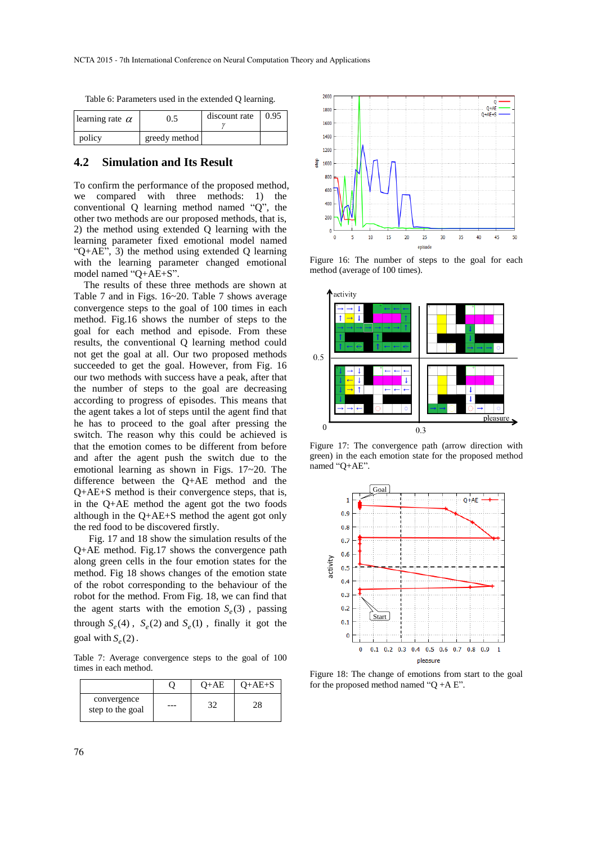| Table 6: Parameters used in the extended Q learning. |  |  |  |
|------------------------------------------------------|--|--|--|
|------------------------------------------------------|--|--|--|

| learning rate $\alpha$ | 0.5           | discount rate | 0.95 |
|------------------------|---------------|---------------|------|
| policy                 | greedy method |               |      |

### **4.2 Simulation and Its Result**

To confirm the performance of the proposed method, we compared with three methods: 1) the conventional Q learning method named "Q", the other two methods are our proposed methods, that is, 2) the method using extended Q learning with the learning parameter fixed emotional model named "Q+AE", 3) the method using extended Q learning with the learning parameter changed emotional model named "Q+AE+S".

The results of these three methods are shown at Table 7 and in Figs. 16~20. Table 7 shows average convergence steps to the goal of 100 times in each method. Fig.16 shows the number of steps to the goal for each method and episode. From these results, the conventional Q learning method could not get the goal at all. Our two proposed methods succeeded to get the goal. However, from Fig. 16 our two methods with success have a peak, after that the number of steps to the goal are decreasing according to progress of episodes. This means that the agent takes a lot of steps until the agent find that he has to proceed to the goal after pressing the switch. The reason why this could be achieved is that the emotion comes to be different from before and after the agent push the switch due to the emotional learning as shown in Figs. 17~20. The difference between the Q+AE method and the Q+AE+S method is their convergence steps, that is, in the Q+AE method the agent got the two foods although in the Q+AE+S method the agent got only the red food to be discovered firstly.

Fig. 17 and 18 show the simulation results of the Q+AE method. Fig.17 shows the convergence path along green cells in the four emotion states for the method. Fig 18 shows changes of the emotion state of the robot corresponding to the behaviour of the robot for the method. From Fig. 18, we can find that the agent starts with the emotion  $S_e(3)$ , passing through  $S_e(4)$ ,  $S_e(2)$  and  $S_e(1)$ , finally it got the goal with  $S_e(2)$ .

Table 7: Average convergence steps to the goal of 100 times in each method.

|                                 | $O+AE$ | $Q+AE+S$ |
|---------------------------------|--------|----------|
| convergence<br>step to the goal |        |          |



Figure 16: The number of steps to the goal for each method (average of 100 times).



Figure 17: The convergence path (arrow direction with green) in the each emotion state for the proposed method named "Q+AE".



Figure 18: The change of emotions from start to the goal for the proposed method named " $Q + A E$ ".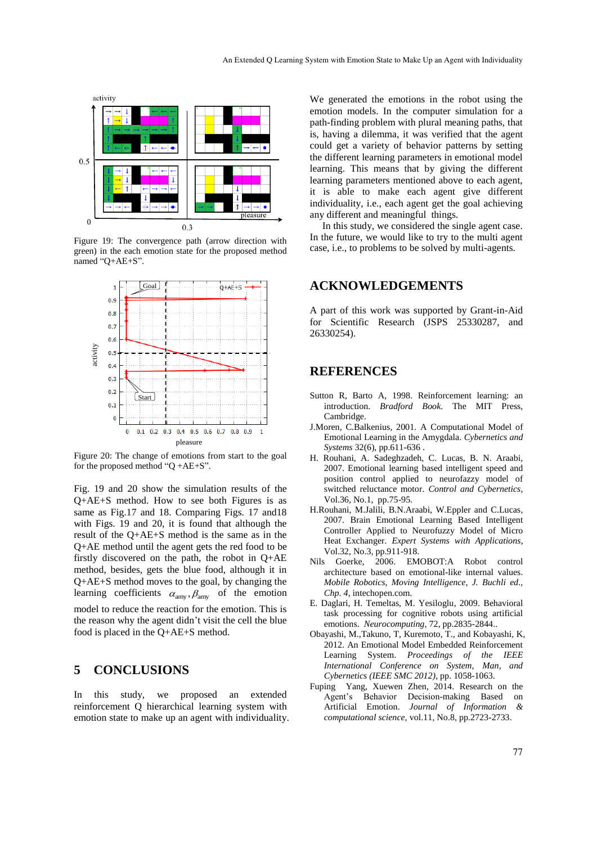

Figure 19: The convergence path (arrow direction with green) in the each emotion state for the proposed method named "Q+AE+S".



Figure 20: The change of emotions from start to the goal for the proposed method "Q +AE+S".

Fig. 19 and 20 show the simulation results of the Q+AE+S method. How to see both Figures is as same as Fig.17 and 18. Comparing Figs. 17 and18 with Figs. 19 and 20, it is found that although the result of the Q+AE+S method is the same as in the Q+AE method until the agent gets the red food to be firstly discovered on the path, the robot in Q+AE method, besides, gets the blue food, although it in Q+AE+S method moves to the goal, by changing the learning coefficients  $\alpha_{\text{amy}}, \beta_{\text{amy}}$  of the emotion model to reduce the reaction for the emotion. This is the reason why the agent didn't visit the cell the blue food is placed in the Q+AE+S method.

### **5 CONCLUSIONS**

In this study, we proposed an extended reinforcement Q hierarchical learning system with emotion state to make up an agent with individuality.

We generated the emotions in the robot using the emotion models. In the computer simulation for a path-finding problem with plural meaning paths, that is, having a dilemma, it was verified that the agent could get a variety of behavior patterns by setting the different learning parameters in emotional model learning. This means that by giving the different learning parameters mentioned above to each agent, it is able to make each agent give different individuality, i.e., each agent get the goal achieving any different and meaningful things.

In this study, we considered the single agent case. In the future, we would like to try to the multi agent case, i.e., to problems to be solved by multi-agents.

### **ACKNOWLEDGEMENTS**

A part of this work was supported by Grant-in-Aid for Scientific Research (JSPS 25330287, and 26330254).

### **REFERENCES**

- Sutton R, Barto A, 1998. Reinforcement learning: an introduction. *Bradford Book.* The MIT Press, Cambridge.
- J.Moren, C.Balkenius, 2001. A Computational Model of Emotional Learning in the Amygdala. *Cybernetics and Systems* 32(6), pp.611-636 .
- H. Rouhani, A. Sadeghzadeh, C. Lucas, B. N. Araabi, 2007. Emotional learning based intelligent speed and position control applied to neurofazzy model of switched reluctance motor. *Control and Cybernetics*, Vol.36, No.1, pp.75-95.
- H.Rouhani, M.Jalili, B.N.Araabi, W.Eppler and C.Lucas, 2007. Brain Emotional Learning Based Intelligent Controller Applied to Neurofuzzy Model of Micro Heat Exchanger. *Expert Systems with Applications*, Vol.32, No.3, pp.911-918.
- Nils Goerke, 2006. EMOBOT:A Robot control architecture based on emotional-like internal values. *Mobile Robotics, Moving Intelligence, J. Buchli ed., Chp. 4*, intechopen.com.
- E. Daglari, H. Temeltas, M. Yesiloglu, 2009. Behavioral task processing for cognitive robots using artificial emotions. *Neurocomputing*, 72, pp.2835-2844..
- Obayashi, M.,Takuno, T, Kuremoto, T., and Kobayashi, K, 2012. An Emotional Model Embedded Reinforcement Learning System. *Proceedings of the IEEE International Conference on System, Man, and Cybernetics (IEEE SMC 2012)*, pp. 1058-1063.
- Fuping Yang, Xuewen Zhen, 2014. Research on the Agent's Behavior Decision-making Based on Artificial Emotion. *Journal of Information & computational science,* vol.11, No.8, pp.2723-2733.